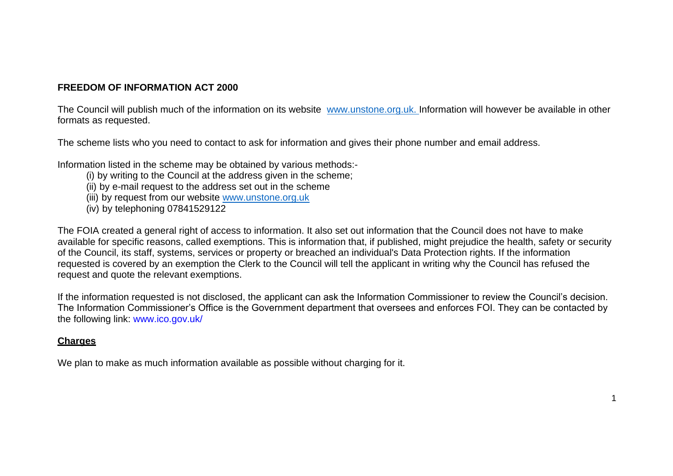#### **FREEDOM OF INFORMATION ACT 2000**

The Council will publish much of the information on its website [www.unstone.org.uk. I](http://www.unstone.org.uk./)nformation will however be available in other formats as requested.

The scheme lists who you need to contact to ask for information and gives their phone number and email address.

Information listed in the scheme may be obtained by various methods:-

- (i) by writing to the Council at the address given in the scheme;
- (ii) by e-mail request to the address set out in the scheme
- (iii) by request from our website [www.unstone.org.uk](http://www.unstone.org.uk/)
- (iv) by telephoning 07841529122

The FOIA created a general right of access to information. It also set out information that the Council does not have to make available for specific reasons, called exemptions. This is information that, if published, might prejudice the health, safety or security of the Council, its staff, systems, services or property or breached an individual's Data Protection rights. If the information requested is covered by an exemption the Clerk to the Council will tell the applicant in writing why the Council has refused the request and quote the relevant exemptions.

If the information requested is not disclosed, the applicant can ask the Information Commissioner to review the Council's decision. The Information Commissioner's Office is the Government department that oversees and enforces FOI. They can be contacted by the following link: [www.ico.gov.uk/](http://www.ico.gov.uk/)

#### **Charges**

We plan to make as much information available as possible without charging for it.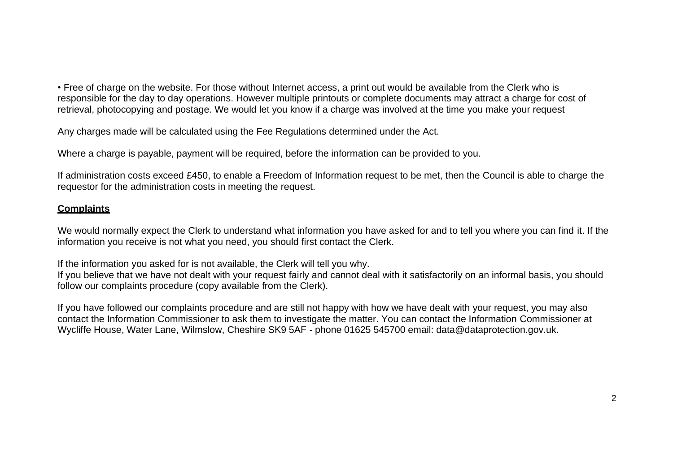• Free of charge on the website. For those without Internet access, a print out would be available from the Clerk who is responsible for the day to day operations. However multiple printouts or complete documents may attract a charge for cost of retrieval, photocopying and postage. We would let you know if a charge was involved at the time you make your request

Any charges made will be calculated using the Fee Regulations determined under the Act.

Where a charge is payable, payment will be required, before the information can be provided to you.

If administration costs exceed £450, to enable a Freedom of Information request to be met, then the Council is able to charge the requestor for the administration costs in meeting the request.

## **Complaints**

We would normally expect the Clerk to understand what information you have asked for and to tell you where you can find it. If the information you receive is not what you need, you should first contact the Clerk.

If the information you asked for is not available, the Clerk will tell you why.

If you believe that we have not dealt with your request fairly and cannot deal with it satisfactorily on an informal basis, you should follow our complaints procedure (copy available from the Clerk).

If you have followed our complaints procedure and are still not happy with how we have dealt with your request, you may also contact the Information Commissioner to ask them to investigate the matter. You can contact the Information Commissioner at Wycliffe House, Water Lane, Wilmslow, Cheshire SK9 5AF - phone 01625 545700 email: [data@dataprotection.gov.uk.](mailto:data@dataprotection.gov.uk)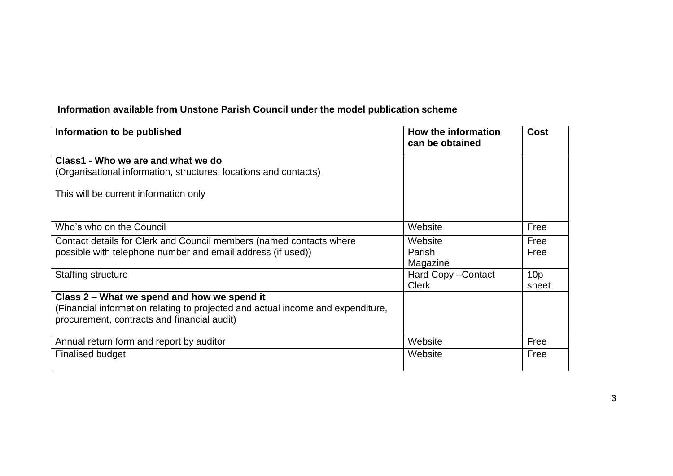# **Information available from Unstone Parish Council under the model publication scheme**

| Information to be published                                                     | How the information<br>can be obtained | <b>Cost</b>     |
|---------------------------------------------------------------------------------|----------------------------------------|-----------------|
| Class1 - Who we are and what we do                                              |                                        |                 |
| (Organisational information, structures, locations and contacts)                |                                        |                 |
| This will be current information only                                           |                                        |                 |
| Who's who on the Council                                                        | Website                                | Free            |
| Contact details for Clerk and Council members (named contacts where             | Website                                | Free            |
| possible with telephone number and email address (if used))                     | Parish                                 | Free            |
|                                                                                 | Magazine                               |                 |
| Staffing structure                                                              | Hard Copy - Contact                    | 10 <sub>p</sub> |
|                                                                                 | <b>Clerk</b>                           | sheet           |
| Class 2 – What we spend and how we spend it                                     |                                        |                 |
| (Financial information relating to projected and actual income and expenditure, |                                        |                 |
| procurement, contracts and financial audit)                                     |                                        |                 |
|                                                                                 |                                        |                 |
| Annual return form and report by auditor                                        | Website                                | Free            |
| <b>Finalised budget</b>                                                         | Website                                | Free            |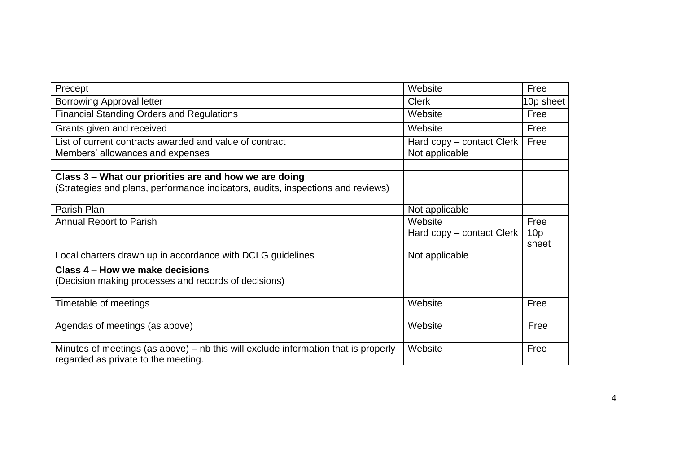| Precept                                                                                                                                   | Website                              | Free                             |
|-------------------------------------------------------------------------------------------------------------------------------------------|--------------------------------------|----------------------------------|
| <b>Borrowing Approval letter</b>                                                                                                          | <b>Clerk</b>                         | 10p sheet                        |
| <b>Financial Standing Orders and Regulations</b>                                                                                          | Website                              | Free                             |
| Grants given and received                                                                                                                 | Website                              | Free                             |
| List of current contracts awarded and value of contract                                                                                   | Hard copy – contact Clerk            | Free                             |
| Members' allowances and expenses                                                                                                          | Not applicable                       |                                  |
| Class 3 – What our priorities are and how we are doing<br>(Strategies and plans, performance indicators, audits, inspections and reviews) |                                      |                                  |
| Parish Plan                                                                                                                               | Not applicable                       |                                  |
| <b>Annual Report to Parish</b>                                                                                                            | Website<br>Hard copy – contact Clerk | Free<br>10 <sub>p</sub><br>sheet |
| Local charters drawn up in accordance with DCLG guidelines                                                                                | Not applicable                       |                                  |
| Class 4 – How we make decisions<br>(Decision making processes and records of decisions)                                                   |                                      |                                  |
| Timetable of meetings                                                                                                                     | Website                              | Free                             |
| Agendas of meetings (as above)                                                                                                            | Website                              | Free                             |
| Minutes of meetings (as above) $-$ nb this will exclude information that is properly<br>regarded as private to the meeting.               | Website                              | Free                             |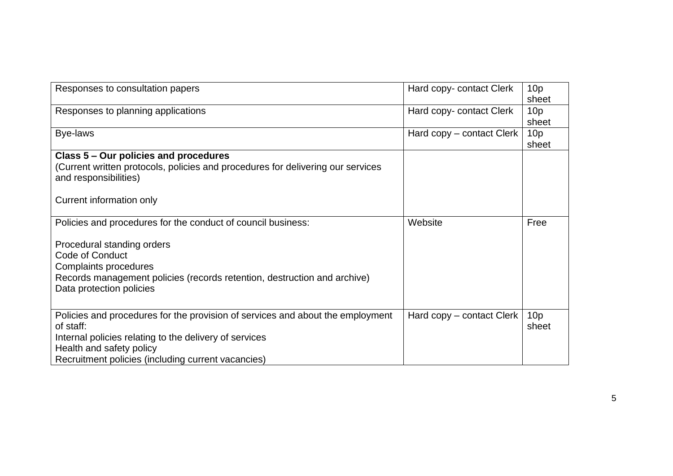| Responses to consultation papers                                                                                                                                                                                                        | Hard copy- contact Clerk  | 10 <sub>p</sub><br>sheet |
|-----------------------------------------------------------------------------------------------------------------------------------------------------------------------------------------------------------------------------------------|---------------------------|--------------------------|
| Responses to planning applications                                                                                                                                                                                                      | Hard copy- contact Clerk  | 10 <sub>p</sub><br>sheet |
| Bye-laws                                                                                                                                                                                                                                | Hard copy – contact Clerk | 10 <sub>p</sub><br>sheet |
| Class 5 – Our policies and procedures<br>(Current written protocols, policies and procedures for delivering our services<br>and responsibilities)<br>Current information only                                                           |                           |                          |
| Policies and procedures for the conduct of council business:                                                                                                                                                                            | Website                   | Free                     |
| Procedural standing orders<br>Code of Conduct<br><b>Complaints procedures</b><br>Records management policies (records retention, destruction and archive)<br>Data protection policies                                                   |                           |                          |
| Policies and procedures for the provision of services and about the employment<br>of staff:<br>Internal policies relating to the delivery of services<br>Health and safety policy<br>Recruitment policies (including current vacancies) | Hard copy – contact Clerk | 10 <sub>p</sub><br>sheet |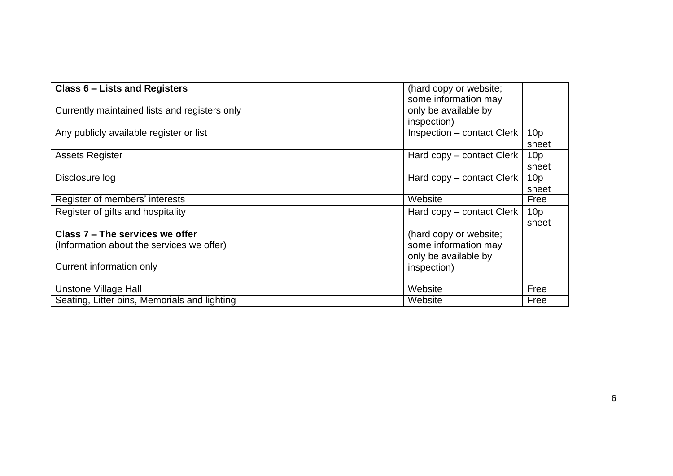| Class 6 - Lists and Registers                 | (hard copy or website;            |                 |
|-----------------------------------------------|-----------------------------------|-----------------|
|                                               | some information may              |                 |
| Currently maintained lists and registers only | only be available by              |                 |
|                                               | inspection)                       |                 |
| Any publicly available register or list       | <b>Inspection – contact Clerk</b> | 10 <sub>p</sub> |
|                                               |                                   | sheet           |
| <b>Assets Register</b>                        | Hard copy – contact Clerk         | 10 <sub>p</sub> |
|                                               |                                   | sheet           |
| Disclosure log                                | Hard copy – contact Clerk         | 10 <sub>p</sub> |
|                                               |                                   | sheet           |
| Register of members' interests                | Website                           | Free            |
| Register of gifts and hospitality             | Hard copy – contact Clerk         | 10 <sub>p</sub> |
|                                               |                                   | sheet           |
| Class 7 - The services we offer               | (hard copy or website;            |                 |
| (Information about the services we offer)     | some information may              |                 |
|                                               | only be available by              |                 |
| Current information only                      | inspection)                       |                 |
|                                               |                                   |                 |
| <b>Unstone Village Hall</b>                   | Website                           | Free            |
| Seating, Litter bins, Memorials and lighting  | Website                           | Free            |